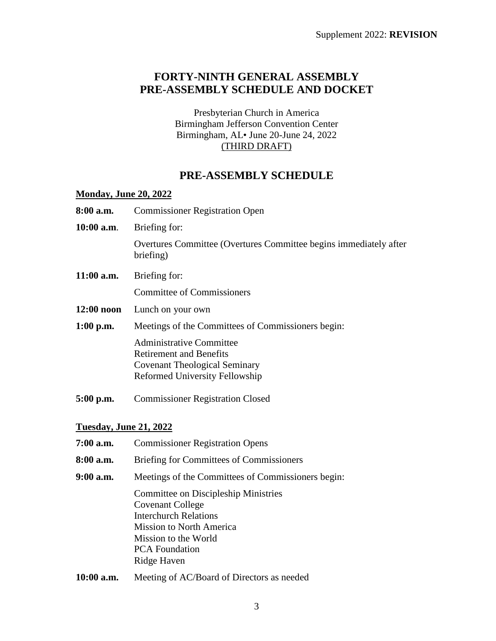# **FORTY-NINTH GENERAL ASSEMBLY PRE-ASSEMBLY SCHEDULE AND DOCKET**

Presbyterian Church in America Birmingham Jefferson Convention Center Birmingham, AL• June 20-June 24, 2022 (THIRD DRAFT)

# **PRE-ASSEMBLY SCHEDULE**

### **Monday, June 20, 2022**

| 8:00 a.m.                     | <b>Commissioner Registration Open</b>                                                                                                              |
|-------------------------------|----------------------------------------------------------------------------------------------------------------------------------------------------|
| $10:00$ a.m.                  | Briefing for:                                                                                                                                      |
|                               | Overtures Committee (Overtures Committee begins immediately after<br>briefing)                                                                     |
| $11:00$ a.m.                  | Briefing for:                                                                                                                                      |
|                               | <b>Committee of Commissioners</b>                                                                                                                  |
| $12:00$ noon                  | Lunch on your own                                                                                                                                  |
| $1:00$ p.m.                   | Meetings of the Committees of Commissioners begin:                                                                                                 |
|                               | <b>Administrative Committee</b><br><b>Retirement and Benefits</b><br><b>Covenant Theological Seminary</b><br><b>Reformed University Fellowship</b> |
| $5:00$ p.m.                   | <b>Commissioner Registration Closed</b>                                                                                                            |
| <b>Tuesday, June 21, 2022</b> |                                                                                                                                                    |
| 7:00 a.m.                     | <b>Commissioner Registration Opens</b>                                                                                                             |

- **8:00 a.m.** Briefing for Committees of Commissioners
- **9:00 a.m.** Meetings of the Committees of Commissioners begin:

Committee on Discipleship Ministries Covenant College Interchurch Relations Mission to North America Mission to the World PCA Foundation Ridge Haven

**10:00 a.m.** Meeting of AC/Board of Directors as needed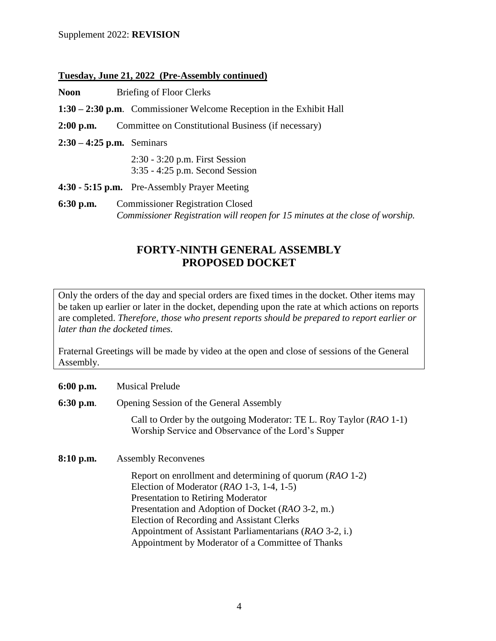#### Supplement 2022: **REVISION**

#### **Tuesday, June 21, 2022 (Pre-Assembly continued)**

**Noon** Briefing of Floor Clerks

- **1:30 – 2:30 p.m**. Commissioner Welcome Reception in the Exhibit Hall
- **2:00 p.m.** Committee on Constitutional Business (if necessary)

**2:30 – 4:25 p.m.** Seminars

2:30 - 3:20 p.m. First Session 3:35 - 4:25 p.m. Second Session

- **4:30 - 5:15 p.m.** Pre-Assembly Prayer Meeting
- **6:30 p.m.** Commissioner Registration Closed *Commissioner Registration will reopen for 15 minutes at the close of worship.*

## **FORTY-NINTH GENERAL ASSEMBLY PROPOSED DOCKET**

Only the orders of the day and special orders are fixed times in the docket. Other items may be taken up earlier or later in the docket, depending upon the rate at which actions on reports are completed. *Therefore, those who present reports should be prepared to report earlier or later than the docketed times.*

Fraternal Greetings will be made by video at the open and close of sessions of the General Assembly.

- **6:00 p.m.** Musical Prelude
- **6:30 p.m**. Opening Session of the General Assembly

Call to Order by the outgoing Moderator: TE L. Roy Taylor (*RAO* 1-1) Worship Service and Observance of the Lord's Supper

**8:10 p.m.** Assembly Reconvenes

Report on enrollment and determining of quorum (*RAO* 1-2) Election of Moderator (*RAO* 1-3, 1-4, 1-5) Presentation to Retiring Moderator Presentation and Adoption of Docket (*RAO* 3-2, m.) Election of Recording and Assistant Clerks Appointment of Assistant Parliamentarians (*RAO* 3-2, i.) Appointment by Moderator of a Committee of Thanks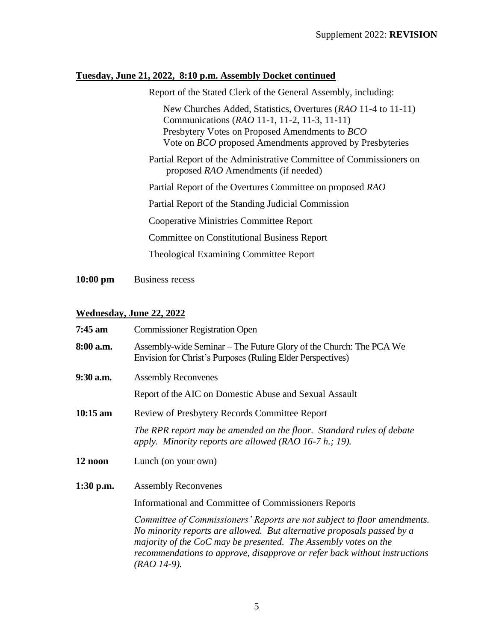### **Tuesday, June 21, 2022, 8:10 p.m. Assembly Docket continued**

Report of the Stated Clerk of the General Assembly, including:

New Churches Added, Statistics, Overtures (*RAO* 11-4 to 11-11) Communications (*RAO* 11-1, 11-2, 11-3, 11-11) Presbytery Votes on Proposed Amendments to *BCO* Vote on *BCO* proposed Amendments approved by Presbyteries

Partial Report of the Administrative Committee of Commissioners on proposed *RAO* Amendments (if needed)

Partial Report of the Overtures Committee on proposed *RAO*

Partial Report of the Standing Judicial Commission

Cooperative Ministries Committee Report

Committee on Constitutional Business Report

Theological Examining Committee Report

**10:00 pm** Business recess

## **Wednesday, June 22, 2022**

| 7:45 am     | <b>Commissioner Registration Open</b>                                                                                                                                                                                                                                                                             |
|-------------|-------------------------------------------------------------------------------------------------------------------------------------------------------------------------------------------------------------------------------------------------------------------------------------------------------------------|
| 8:00 a.m.   | Assembly-wide Seminar – The Future Glory of the Church: The PCA We<br>Envision for Christ's Purposes (Ruling Elder Perspectives)                                                                                                                                                                                  |
| 9:30 a.m.   | <b>Assembly Reconvenes</b>                                                                                                                                                                                                                                                                                        |
|             | Report of the AIC on Domestic Abuse and Sexual Assault                                                                                                                                                                                                                                                            |
| $10:15$ am  | <b>Review of Presbytery Records Committee Report</b>                                                                                                                                                                                                                                                              |
|             | The RPR report may be amended on the floor. Standard rules of debate<br>apply. Minority reports are allowed (RAO 16-7 h.; 19).                                                                                                                                                                                    |
| 12 noon     | Lunch (on your own)                                                                                                                                                                                                                                                                                               |
| $1:30$ p.m. | <b>Assembly Reconvenes</b>                                                                                                                                                                                                                                                                                        |
|             | Informational and Committee of Commissioners Reports                                                                                                                                                                                                                                                              |
|             | Committee of Commissioners' Reports are not subject to floor amendments.<br>No minority reports are allowed. But alternative proposals passed by a<br>majority of the CoC may be presented. The Assembly votes on the<br>recommendations to approve, disapprove or refer back without instructions<br>(RAO 14-9). |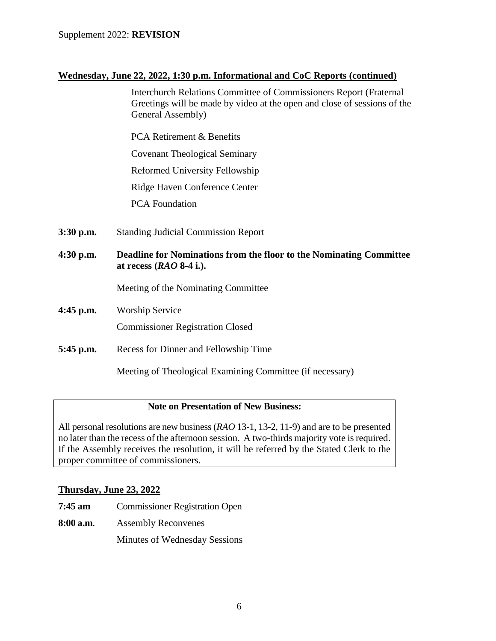## **Wednesday, June 22, 2022, 1:30 p.m. Informational and CoC Reports (continued)**

Interchurch Relations Committee of Commissioners Report (Fraternal Greetings will be made by video at the open and close of sessions of the General Assembly)

PCA Retirement & Benefits Covenant Theological Seminary Reformed University Fellowship Ridge Haven Conference Center PCA Foundation

- **3:30 p.m.** Standing Judicial Commission Report
- **4:30 p.m. Deadline for Nominations from the floor to the Nominating Committee at recess (***RAO* **8-4 i.).**

Meeting of the Nominating Committee

**4:45 p.m.** Worship Service

Commissioner Registration Closed

**5:45 p.m.** Recess for Dinner and Fellowship Time

Meeting of Theological Examining Committee (if necessary)

### **Note on Presentation of New Business:**

All personal resolutions are new business (*RAO* 13-1, 13-2, 11-9) and are to be presented no later than the recess of the afternoon session. A two-thirds majority vote is required. If the Assembly receives the resolution, it will be referred by the Stated Clerk to the proper committee of commissioners.

### **Thursday, June 23, 2022**

- **7:45 am** Commissioner Registration Open
- **8:00 a.m**. Assembly Reconvenes

Minutes of Wednesday Sessions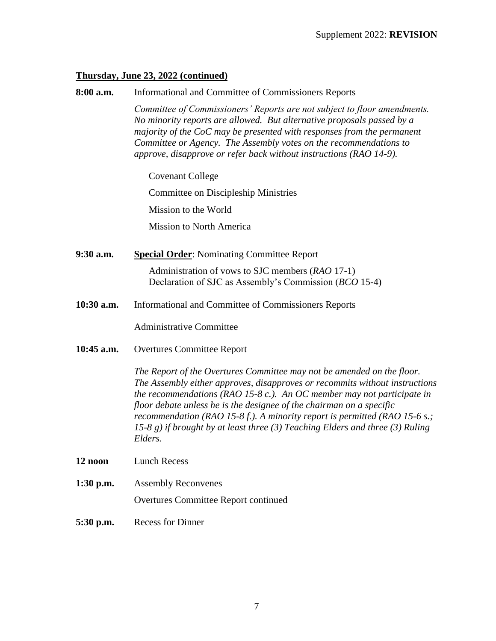#### **Thursday, June 23, 2022 (continued)**

**8:00 a.m.** Informational and Committee of Commissioners Reports *Committee of Commissioners' Reports are not subject to floor amendments. No minority reports are allowed. But alternative proposals passed by a majority of the CoC may be presented with responses from the permanent Committee or Agency. The Assembly votes on the recommendations to approve, disapprove or refer back without instructions (RAO 14-9).*

Covenant College

Committee on Discipleship Ministries

Mission to the World

Mission to North America

**9:30 a.m. Special Order**: Nominating Committee Report

Administration of vows to SJC members (*RAO* 17-1) Declaration of SJC as Assembly's Commission (*BCO* 15-4)

**10:30 a.m.** Informational and Committee of Commissioners Reports

Administrative Committee

**10:45 a.m.** Overtures Committee Report

*The Report of the Overtures Committee may not be amended on the floor. The Assembly either approves, disapproves or recommits without instructions the recommendations (RAO 15-8 c.). An OC member may not participate in floor debate unless he is the designee of the chairman on a specific recommendation (RAO 15-8 f.). A minority report is permitted (RAO 15-6 s.; 15-8 g) if brought by at least three (3) Teaching Elders and three (3) Ruling Elders.*

- **12 noon** Lunch Recess
- **1:30 p.m.** Assembly Reconvenes Overtures Committee Report continued
- **5:30 p.m.** Recess for Dinner